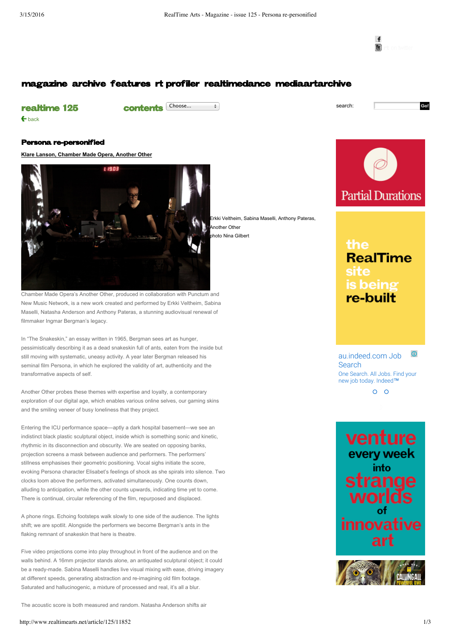← [back](http://www.realtimearts.net/contents/125/all)

 $\mathbf{f}$ 

Go!

## [magazine](http://www.realtimearts.net/magazine) [archive](http://www.realtimearts.net/archive) [features](http://www.realtimearts.net/features) [rt profiler](http://www.realtimearts.net/exclusives) [realtimedance](http://www.realtimearts.net/realtimedance) [mediaartarchive](http://www.realtimearts.net/mediaartarchive)

## [realtime 125](http://www.realtimearts.net/contents/125/all)

contents Choose...  $\qquad \qquad \rightarrow$  search:

Persona re-personified

**Klare Lanson, [Chamber](javascript:showhide2() Made Opera, Another Other**



Chamber Made Opera's Another Other, produced in collaboration with Punctum and New Music Network, is a new work created and performed by Erkki Veltheim, Sabina Maselli, Natasha Anderson and Anthony Pateras, a stunning audiovisual renewal of filmmaker Ingmar Bergman's legacy.

In "The Snakeskin," an essay written in 1965, Bergman sees art as hunger, pessimistically describing it as a dead snakeskin full of ants, eaten from the inside but still moving with systematic, uneasy activity. A year later Bergman released his seminal film Persona, in which he explored the validity of art, authenticity and the transformative aspects of self.

Another Other probes these themes with expertise and loyalty, a contemporary exploration of our digital age, which enables various online selves, our gaming skins and the smiling veneer of busy loneliness that they project.

Entering the ICU performance space—aptly a dark hospital basement—we see an indistinct black plastic sculptural object, inside which is something sonic and kinetic, rhythmic in its disconnection and obscurity. We are seated on opposing banks, projection screens a mask between audience and performers. The performers' stillness emphasises their geometric positioning. Vocal sighs initiate the score, evoking Persona character Elisabet's feelings of shock as she spirals into silence. Two clocks loom above the performers, activated simultaneously. One counts down, alluding to anticipation, while the other counts upwards, indicating time yet to come. There is continual, circular referencing of the film, repurposed and displaced.

A phone rings. Echoing footsteps walk slowly to one side of the audience. The lights shift; we are spotlit. Alongside the performers we become Bergman's ants in the flaking remnant of snakeskin that here is theatre.

Five video projections come into play throughout in front of the audience and on the walls behind. A 16mm projector stands alone, an antiquated sculptural object; it could be a ready-made. Sabina Maselli handles live visual mixing with ease, driving imagery at different speeds, generating abstraction and re-imagining old film footage. Saturated and hallucinogenic, a mixture of processed and real, it's all a blur.

The acoustic score is both measured and random. Natasha Anderson shifts air

rkki Veltheim, Sabina Maselli, Anthony Pateras, Another Other hoto Nina Gilbert



the **RealTime** site is being re-built

(i) [au.indeed.com](https://googleads.g.doubleclick.net/aclk?sa=l&ai=CoDM_M6LnVr6eDo779QWVxaGADOu_t9UI28Te5dACwI23ARABIL2k6yxgpcCjgKQBoAGtmff8A8gBAagDAcgDwwSqBI0BT9BjyR0bA2wYcHLOfs7hhY8QaFkNLm0gHTSXoqL-62W4mFxFt4O31ouL8nB3Kjun1ShL7Bo7tzbpT9MRejyPFUH86BiowL79S8ELRjsOQrIoyFO1V104qIOo3JklL2XZTPtV58dG14MJTPvKaDZdlkLBeKiAiknn8cvUCrWUI3HrQ5xYBw4bQmCvQ-3EgAfPmbsWqAemvhvYBwE&num=1&sig=AOD64_2Ty_NKaFQzmtG-VLhCtssSOxyYtg&client=ca-pub-1497329858798377&adurl=http://au.indeed.com/%3Fsid%3Dau_googcontqry-brand_and_nonbrand%26kw%3Djobs_indeed_sign_in) Job **Search** One Search. All Jobs. Find your new job today. Indeed™